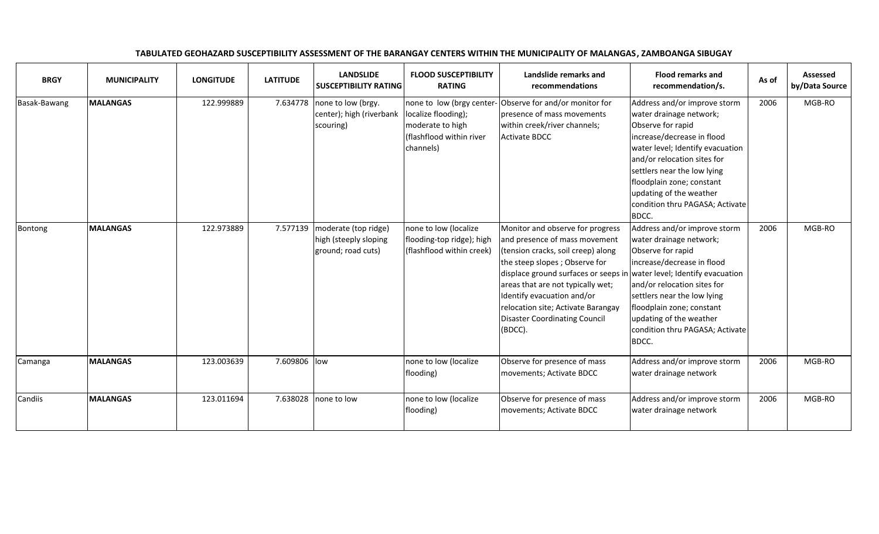| <b>BRGY</b>  | <b>MUNICIPALITY</b> | <b>LONGITUDE</b> | <b>LATITUDE</b> | <b>LANDSLIDE</b><br><b>SUSCEPTIBILITY RATING</b>                    | <b>FLOOD SUSCEPTIBILITY</b><br><b>RATING</b>                                                                  | Landslide remarks and<br>recommendations                                                                                                                                                                                                                                                                                                                                      | <b>Flood remarks and</b><br>recommendation/s.                                                                                                                                                                                                                                                                    | As of | <b>Assessed</b><br>by/Data Source |
|--------------|---------------------|------------------|-----------------|---------------------------------------------------------------------|---------------------------------------------------------------------------------------------------------------|-------------------------------------------------------------------------------------------------------------------------------------------------------------------------------------------------------------------------------------------------------------------------------------------------------------------------------------------------------------------------------|------------------------------------------------------------------------------------------------------------------------------------------------------------------------------------------------------------------------------------------------------------------------------------------------------------------|-------|-----------------------------------|
| Basak-Bawang | <b>MALANGAS</b>     | 122.999889       | 7.634778        | none to low (brgy.<br>center); high (riverbank<br>scouring)         | none to low (brgy center-<br>localize flooding);<br>moderate to high<br>(flashflood within river<br>channels) | Observe for and/or monitor for<br>presence of mass movements<br>within creek/river channels;<br><b>Activate BDCC</b>                                                                                                                                                                                                                                                          | Address and/or improve storm<br>water drainage network;<br>Observe for rapid<br>increase/decrease in flood<br>water level; Identify evacuation<br>and/or relocation sites for<br>settlers near the low lying<br>floodplain zone; constant<br>updating of the weather<br>condition thru PAGASA; Activate<br>BDCC. | 2006  | MGB-RO                            |
| Bontong      | <b>MALANGAS</b>     | 122.973889       | 7.577139        | moderate (top ridge)<br>high (steeply sloping<br>ground; road cuts) | none to low (localize<br>flooding-top ridge); high<br>(flashflood within creek)                               | Monitor and observe for progress<br>and presence of mass movement<br>(tension cracks, soil creep) along<br>the steep slopes; Observe for<br>displace ground surfaces or seeps in water level; Identify evacuation<br>areas that are not typically wet;<br>Identify evacuation and/or<br>relocation site; Activate Barangay<br><b>Disaster Coordinating Council</b><br>(BDCC). | Address and/or improve storm<br>water drainage network;<br>Observe for rapid<br>increase/decrease in flood<br>and/or relocation sites for<br>settlers near the low lying<br>floodplain zone; constant<br>updating of the weather<br>condition thru PAGASA; Activate<br>BDCC.                                     | 2006  | MGB-RO                            |
| Camanga      | <b>MALANGAS</b>     | 123.003639       | 7.609806        | low                                                                 | none to low (localize<br>flooding)                                                                            | Observe for presence of mass<br>movements; Activate BDCC                                                                                                                                                                                                                                                                                                                      | Address and/or improve storm<br>water drainage network                                                                                                                                                                                                                                                           | 2006  | MGB-RO                            |
| Candiis      | <b>MALANGAS</b>     | 123.011694       | 7.638028        | none to low                                                         | none to low (localize<br>flooding)                                                                            | Observe for presence of mass<br>movements; Activate BDCC                                                                                                                                                                                                                                                                                                                      | Address and/or improve storm<br>water drainage network                                                                                                                                                                                                                                                           | 2006  | MGB-RO                            |

## TABULATED GEOHAZARD SUSCEPTIBILITY ASSESSMENT OF THE BARANGAY CENTERS WITHIN THE MUNICIPALITY OF MALANGAS, ZAMBOANGA SIBUGAY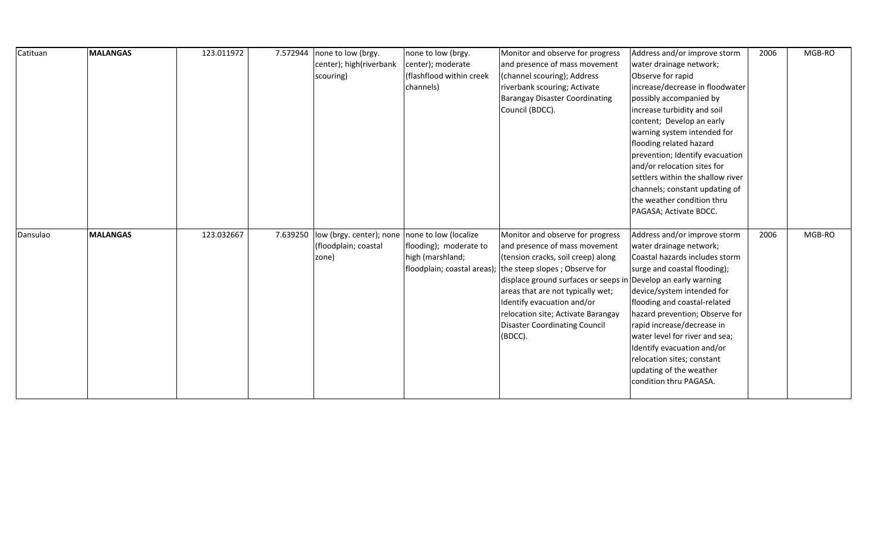| Catituan | <b>MALANGAS</b> | 123.011972 | 7.572944 | none to low (brgy.       | none to low (brgy.                         | Monitor and observe for progress                                    | Address and/or improve storm                              | 2006 | MGB-RO |
|----------|-----------------|------------|----------|--------------------------|--------------------------------------------|---------------------------------------------------------------------|-----------------------------------------------------------|------|--------|
|          |                 |            |          | center); high(riverbank  | center); moderate                          | and presence of mass movement                                       | water drainage network;                                   |      |        |
|          |                 |            |          | scouring)                | (flashflood within creek                   | (channel scouring); Address                                         | Observe for rapid                                         |      |        |
|          |                 |            |          |                          | channels)                                  | riverbank scouring; Activate                                        | increase/decrease in floodwater                           |      |        |
|          |                 |            |          |                          |                                            | <b>Barangay Disaster Coordinating</b>                               | possibly accompanied by                                   |      |        |
|          |                 |            |          |                          |                                            | Council (BDCC).                                                     | increase turbidity and soil                               |      |        |
|          |                 |            |          |                          |                                            |                                                                     | content; Develop an early                                 |      |        |
|          |                 |            |          |                          |                                            |                                                                     | warning system intended for                               |      |        |
|          |                 |            |          |                          |                                            |                                                                     | flooding related hazard                                   |      |        |
|          |                 |            |          |                          |                                            |                                                                     | prevention; Identify evacuation                           |      |        |
|          |                 |            |          |                          |                                            |                                                                     | and/or relocation sites for                               |      |        |
|          |                 |            |          |                          |                                            |                                                                     | settlers within the shallow river                         |      |        |
|          |                 |            |          |                          |                                            |                                                                     | channels; constant updating of                            |      |        |
|          |                 |            |          |                          |                                            |                                                                     | the weather condition thru                                |      |        |
|          |                 |            |          |                          |                                            |                                                                     | PAGASA; Activate BDCC.                                    |      |        |
|          |                 |            |          |                          |                                            |                                                                     |                                                           |      |        |
| Dansulao | <b>MALANGAS</b> | 123.032667 | 7.639250 | low (brgy. center); none | none to low (localize                      | Monitor and observe for progress                                    | Address and/or improve storm                              | 2006 | MGB-RO |
|          |                 |            |          | (floodplain; coastal     | flooding); moderate to<br>high (marshland; | and presence of mass movement<br>(tension cracks, soil creep) along | water drainage network;<br>Coastal hazards includes storm |      |        |
|          |                 |            |          | zone)                    | floodplain; coastal areas);                | the steep slopes; Observe for                                       | surge and coastal flooding);                              |      |        |
|          |                 |            |          |                          |                                            | displace ground surfaces or seeps in Develop an early warning       |                                                           |      |        |
|          |                 |            |          |                          |                                            | areas that are not typically wet;                                   | device/system intended for                                |      |        |
|          |                 |            |          |                          |                                            | Identify evacuation and/or                                          | flooding and coastal-related                              |      |        |
|          |                 |            |          |                          |                                            | relocation site; Activate Barangay                                  | hazard prevention; Observe for                            |      |        |
|          |                 |            |          |                          |                                            | <b>Disaster Coordinating Council</b>                                | rapid increase/decrease in                                |      |        |
|          |                 |            |          |                          |                                            | (BDCC).                                                             | water level for river and sea;                            |      |        |
|          |                 |            |          |                          |                                            |                                                                     | Identify evacuation and/or                                |      |        |
|          |                 |            |          |                          |                                            |                                                                     | relocation sites; constant                                |      |        |
|          |                 |            |          |                          |                                            |                                                                     | updating of the weather                                   |      |        |
|          |                 |            |          |                          |                                            |                                                                     | condition thru PAGASA.                                    |      |        |
|          |                 |            |          |                          |                                            |                                                                     |                                                           |      |        |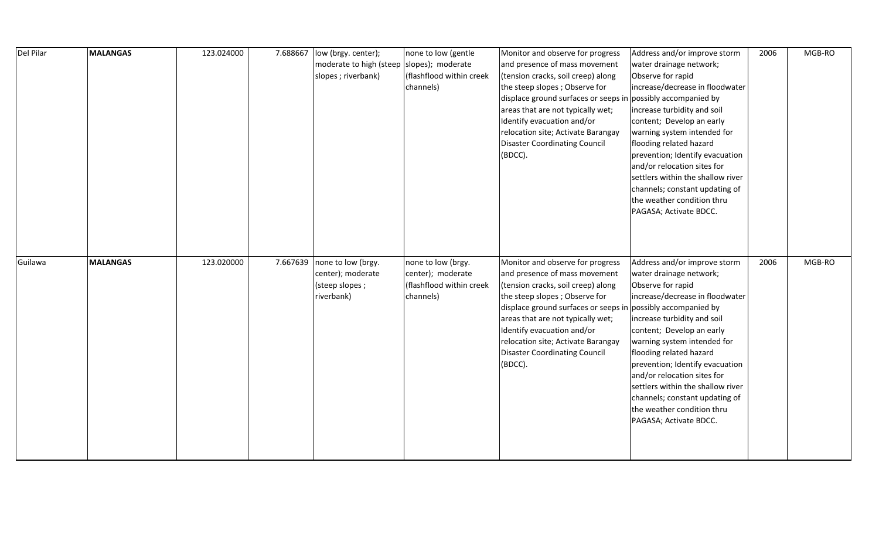| Del Pilar | <b>MALANGAS</b> | 123.024000 | 7.688667 | low (brgy. center);                       | none to low (gentle      | Monitor and observe for progress                             | Address and/or improve storm      | 2006 | MGB-RO |
|-----------|-----------------|------------|----------|-------------------------------------------|--------------------------|--------------------------------------------------------------|-----------------------------------|------|--------|
|           |                 |            |          | moderate to high (steep slopes); moderate |                          | and presence of mass movement                                | water drainage network;           |      |        |
|           |                 |            |          | slopes; riverbank)                        | (flashflood within creek | (tension cracks, soil creep) along                           | Observe for rapid                 |      |        |
|           |                 |            |          |                                           | channels)                | the steep slopes; Observe for                                | increase/decrease in floodwater   |      |        |
|           |                 |            |          |                                           |                          | displace ground surfaces or seeps in possibly accompanied by |                                   |      |        |
|           |                 |            |          |                                           |                          | areas that are not typically wet;                            | increase turbidity and soil       |      |        |
|           |                 |            |          |                                           |                          | Identify evacuation and/or                                   | content; Develop an early         |      |        |
|           |                 |            |          |                                           |                          | relocation site; Activate Barangay                           | warning system intended for       |      |        |
|           |                 |            |          |                                           |                          | <b>Disaster Coordinating Council</b>                         | flooding related hazard           |      |        |
|           |                 |            |          |                                           |                          | (BDCC).                                                      | prevention; Identify evacuation   |      |        |
|           |                 |            |          |                                           |                          |                                                              | and/or relocation sites for       |      |        |
|           |                 |            |          |                                           |                          |                                                              | settlers within the shallow river |      |        |
|           |                 |            |          |                                           |                          |                                                              | channels; constant updating of    |      |        |
|           |                 |            |          |                                           |                          |                                                              | the weather condition thru        |      |        |
|           |                 |            |          |                                           |                          |                                                              | PAGASA; Activate BDCC.            |      |        |
|           |                 |            |          |                                           |                          |                                                              |                                   |      |        |
|           |                 |            |          |                                           |                          |                                                              |                                   |      |        |
|           |                 |            |          |                                           |                          |                                                              |                                   |      |        |
|           |                 |            |          |                                           |                          |                                                              |                                   |      |        |
| Guilawa   | <b>MALANGAS</b> | 123.020000 | 7.667639 | none to low (brgy.                        | none to low (brgy.       | Monitor and observe for progress                             | Address and/or improve storm      | 2006 | MGB-RO |
|           |                 |            |          | center); moderate                         | center); moderate        | and presence of mass movement                                | water drainage network;           |      |        |
|           |                 |            |          | (steep slopes;                            | (flashflood within creek | (tension cracks, soil creep) along                           | Observe for rapid                 |      |        |
|           |                 |            |          | riverbank)                                | channels)                | the steep slopes; Observe for                                | increase/decrease in floodwater   |      |        |
|           |                 |            |          |                                           |                          | displace ground surfaces or seeps in possibly accompanied by |                                   |      |        |
|           |                 |            |          |                                           |                          | areas that are not typically wet;                            | increase turbidity and soil       |      |        |
|           |                 |            |          |                                           |                          | Identify evacuation and/or                                   | content; Develop an early         |      |        |
|           |                 |            |          |                                           |                          | relocation site; Activate Barangay                           | warning system intended for       |      |        |
|           |                 |            |          |                                           |                          | <b>Disaster Coordinating Council</b>                         | flooding related hazard           |      |        |
|           |                 |            |          |                                           |                          | (BDCC).                                                      | prevention; Identify evacuation   |      |        |
|           |                 |            |          |                                           |                          |                                                              | and/or relocation sites for       |      |        |
|           |                 |            |          |                                           |                          |                                                              | settlers within the shallow river |      |        |
|           |                 |            |          |                                           |                          |                                                              | channels; constant updating of    |      |        |
|           |                 |            |          |                                           |                          |                                                              | the weather condition thru        |      |        |
|           |                 |            |          |                                           |                          |                                                              | PAGASA; Activate BDCC.            |      |        |
|           |                 |            |          |                                           |                          |                                                              |                                   |      |        |
|           |                 |            |          |                                           |                          |                                                              |                                   |      |        |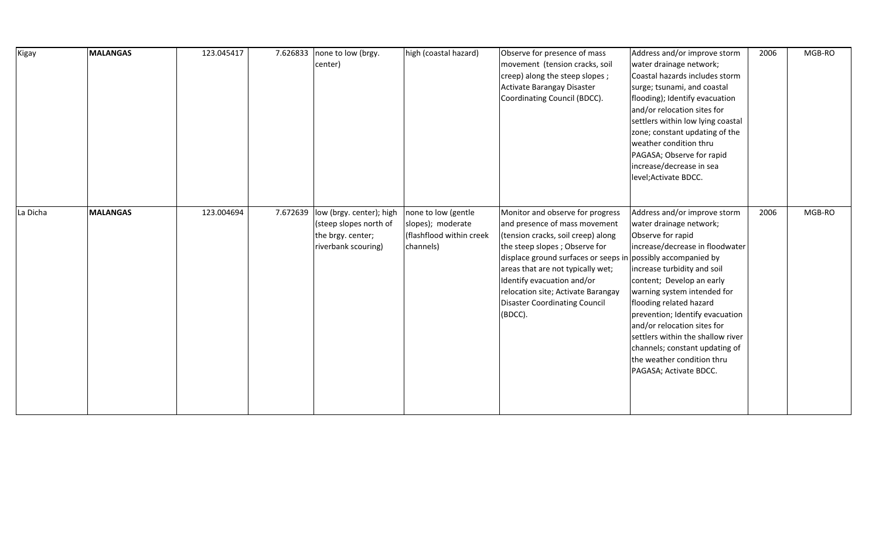| Kigay    | <b>MALANGAS</b> | 123.045417 | 7.626833 | none to low (brgy.<br>center)                                                                  | high (coastal hazard)                                                             | Observe for presence of mass<br>movement (tension cracks, soil<br>creep) along the steep slopes;<br>Activate Barangay Disaster<br>Coordinating Council (BDCC).                                                                                                                                                                                                       | Address and/or improve storm<br>water drainage network;<br>Coastal hazards includes storm<br>surge; tsunami, and coastal<br>flooding); Identify evacuation<br>and/or relocation sites for<br>settlers within low lying coastal<br>zone; constant updating of the<br>weather condition thru<br>PAGASA; Observe for rapid<br>increase/decrease in sea<br>level; Activate BDCC.                                                           | 2006 | MGB-RO |
|----------|-----------------|------------|----------|------------------------------------------------------------------------------------------------|-----------------------------------------------------------------------------------|----------------------------------------------------------------------------------------------------------------------------------------------------------------------------------------------------------------------------------------------------------------------------------------------------------------------------------------------------------------------|----------------------------------------------------------------------------------------------------------------------------------------------------------------------------------------------------------------------------------------------------------------------------------------------------------------------------------------------------------------------------------------------------------------------------------------|------|--------|
| La Dicha | <b>MALANGAS</b> | 123.004694 | 7.672639 | low (brgy. center); high<br>(steep slopes north of<br>the brgy. center;<br>riverbank scouring) | none to low (gentle<br>slopes); moderate<br>(flashflood within creek<br>channels) | Monitor and observe for progress<br>and presence of mass movement<br>(tension cracks, soil creep) along<br>the steep slopes; Observe for<br>displace ground surfaces or seeps in possibly accompanied by<br>areas that are not typically wet;<br>Identify evacuation and/or<br>relocation site; Activate Barangay<br><b>Disaster Coordinating Council</b><br>(BDCC). | Address and/or improve storm<br>water drainage network;<br>Observe for rapid<br>increase/decrease in floodwater<br>increase turbidity and soil<br>content; Develop an early<br>warning system intended for<br>flooding related hazard<br>prevention; Identify evacuation<br>and/or relocation sites for<br>settlers within the shallow river<br>channels; constant updating of<br>the weather condition thru<br>PAGASA; Activate BDCC. | 2006 | MGB-RO |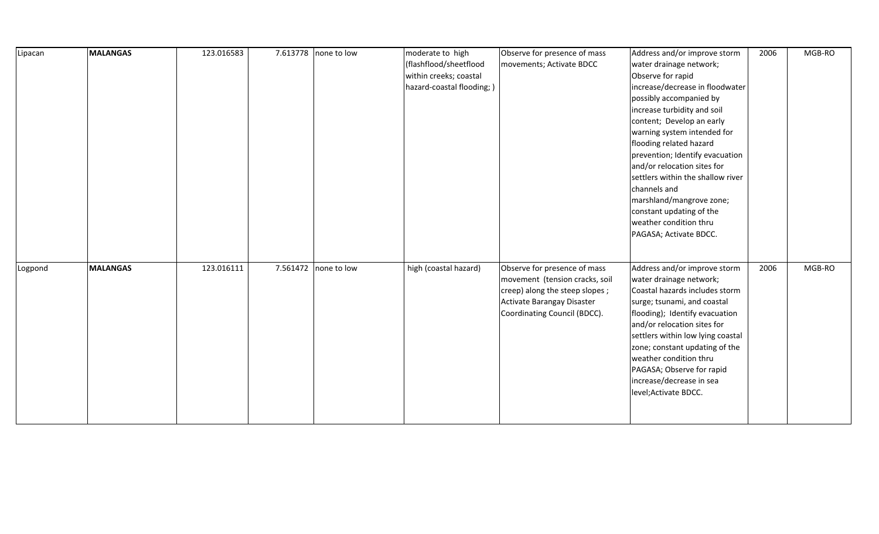| Lipacan | <b>MALANGAS</b> | 123.016583 |          | 7.613778 none to low | moderate to high          | Observe for presence of mass   | Address and/or improve storm      | 2006 | MGB-RO |
|---------|-----------------|------------|----------|----------------------|---------------------------|--------------------------------|-----------------------------------|------|--------|
|         |                 |            |          |                      | (flashflood/sheetflood    | movements; Activate BDCC       | water drainage network;           |      |        |
|         |                 |            |          |                      | within creeks; coastal    |                                | Observe for rapid                 |      |        |
|         |                 |            |          |                      | hazard-coastal flooding;) |                                | increase/decrease in floodwater   |      |        |
|         |                 |            |          |                      |                           |                                | possibly accompanied by           |      |        |
|         |                 |            |          |                      |                           |                                | increase turbidity and soil       |      |        |
|         |                 |            |          |                      |                           |                                | content; Develop an early         |      |        |
|         |                 |            |          |                      |                           |                                | warning system intended for       |      |        |
|         |                 |            |          |                      |                           |                                | flooding related hazard           |      |        |
|         |                 |            |          |                      |                           |                                | prevention; Identify evacuation   |      |        |
|         |                 |            |          |                      |                           |                                | and/or relocation sites for       |      |        |
|         |                 |            |          |                      |                           |                                | settlers within the shallow river |      |        |
|         |                 |            |          |                      |                           |                                | channels and                      |      |        |
|         |                 |            |          |                      |                           |                                | marshland/mangrove zone;          |      |        |
|         |                 |            |          |                      |                           |                                | constant updating of the          |      |        |
|         |                 |            |          |                      |                           |                                | weather condition thru            |      |        |
|         |                 |            |          |                      |                           |                                | PAGASA; Activate BDCC.            |      |        |
|         |                 |            |          |                      |                           |                                |                                   |      |        |
|         | <b>MALANGAS</b> | 123.016111 | 7.561472 |                      |                           | Observe for presence of mass   | Address and/or improve storm      |      | MGB-RO |
| Logpond |                 |            |          | none to low          | high (coastal hazard)     | movement (tension cracks, soil | water drainage network;           | 2006 |        |
|         |                 |            |          |                      |                           | creep) along the steep slopes; | Coastal hazards includes storm    |      |        |
|         |                 |            |          |                      |                           | Activate Barangay Disaster     | surge; tsunami, and coastal       |      |        |
|         |                 |            |          |                      |                           | Coordinating Council (BDCC).   | flooding); Identify evacuation    |      |        |
|         |                 |            |          |                      |                           |                                | and/or relocation sites for       |      |        |
|         |                 |            |          |                      |                           |                                | settlers within low lying coastal |      |        |
|         |                 |            |          |                      |                           |                                | zone; constant updating of the    |      |        |
|         |                 |            |          |                      |                           |                                | weather condition thru            |      |        |
|         |                 |            |          |                      |                           |                                | PAGASA; Observe for rapid         |      |        |
|         |                 |            |          |                      |                           |                                | increase/decrease in sea          |      |        |
|         |                 |            |          |                      |                           |                                | level; Activate BDCC.             |      |        |
|         |                 |            |          |                      |                           |                                |                                   |      |        |
|         |                 |            |          |                      |                           |                                |                                   |      |        |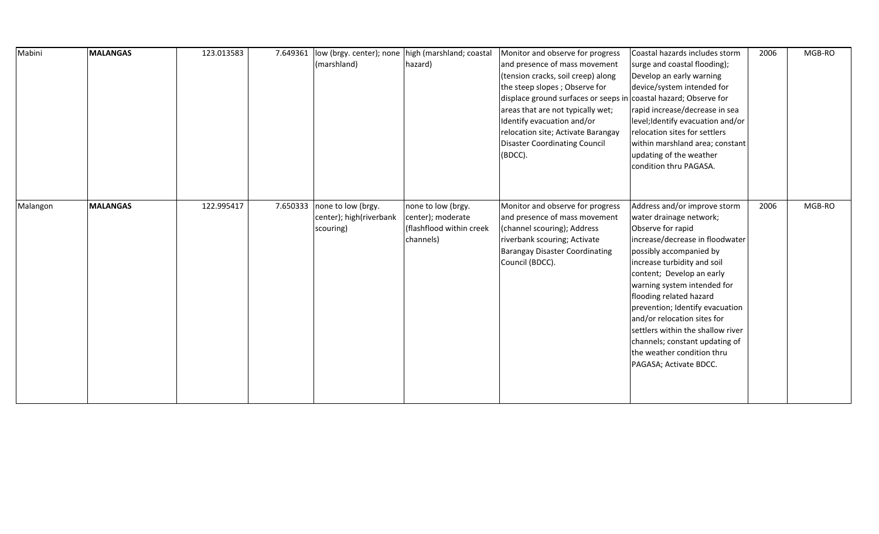| Mabini   | <b>MALANGAS</b> | 123.013583 | 7.649361 | low (brgy. center); none<br>(marshland)                    | high (marshland; coastal<br>hazard)                                              | Monitor and observe for progress<br>and presence of mass movement<br>(tension cracks, soil creep) along<br>the steep slopes; Observe for<br>displace ground surfaces or seeps in coastal hazard; Observe for<br>areas that are not typically wet;<br>Identify evacuation and/or<br>relocation site; Activate Barangay<br><b>Disaster Coordinating Council</b><br>(BDCC). | Coastal hazards includes storm<br>surge and coastal flooding);<br>Develop an early warning<br>device/system intended for<br>rapid increase/decrease in sea<br>level; Identify evacuation and/or<br>relocation sites for settlers<br>within marshland area; constant<br>updating of the weather<br>condition thru PAGASA.                                                                                                                                          | 2006 | MGB-RO |
|----------|-----------------|------------|----------|------------------------------------------------------------|----------------------------------------------------------------------------------|--------------------------------------------------------------------------------------------------------------------------------------------------------------------------------------------------------------------------------------------------------------------------------------------------------------------------------------------------------------------------|-------------------------------------------------------------------------------------------------------------------------------------------------------------------------------------------------------------------------------------------------------------------------------------------------------------------------------------------------------------------------------------------------------------------------------------------------------------------|------|--------|
| Malangon | <b>MALANGAS</b> | 122.995417 | 7.650333 | none to low (brgy.<br>center); high(riverbank<br>scouring) | none to low (brgy.<br>center); moderate<br>(flashflood within creek<br>channels) | Monitor and observe for progress<br>and presence of mass movement<br>(channel scouring); Address<br>riverbank scouring; Activate<br><b>Barangay Disaster Coordinating</b><br>Council (BDCC).                                                                                                                                                                             | Address and/or improve storm<br>water drainage network;<br>Observe for rapid<br>increase/decrease in floodwater<br>possibly accompanied by<br>increase turbidity and soil<br>content; Develop an early<br>warning system intended for<br>flooding related hazard<br>prevention; Identify evacuation<br>and/or relocation sites for<br>settlers within the shallow river<br>channels; constant updating of<br>the weather condition thru<br>PAGASA; Activate BDCC. | 2006 | MGB-RO |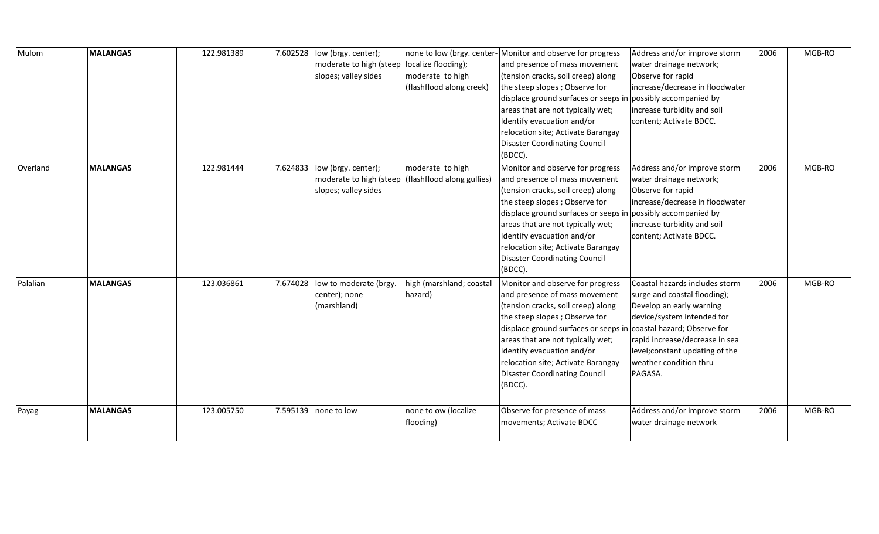| Mulom    | <b>MALANGAS</b> | 122.981389 | 7.602528 | low (brgy. center);<br>moderate to high (steep<br>slopes; valley sides | none to low (brgy. center-<br>localize flooding);<br>moderate to high<br>(flashflood along creek) | Monitor and observe for progress<br>and presence of mass movement<br>(tension cracks, soil creep) along<br>the steep slopes; Observe for<br>displace ground surfaces or seeps in possibly accompanied by<br>areas that are not typically wet;<br>Identify evacuation and/or<br>relocation site; Activate Barangay<br><b>Disaster Coordinating Council</b><br>(BDCC). | Address and/or improve storm<br>water drainage network;<br>Observe for rapid<br>increase/decrease in floodwater<br>increase turbidity and soil<br>content; Activate BDCC.                                                                                           | 2006 | MGB-RO |
|----------|-----------------|------------|----------|------------------------------------------------------------------------|---------------------------------------------------------------------------------------------------|----------------------------------------------------------------------------------------------------------------------------------------------------------------------------------------------------------------------------------------------------------------------------------------------------------------------------------------------------------------------|---------------------------------------------------------------------------------------------------------------------------------------------------------------------------------------------------------------------------------------------------------------------|------|--------|
| Overland | <b>MALANGAS</b> | 122.981444 | 7.624833 | low (brgy. center);<br>moderate to high (steep<br>slopes; valley sides | moderate to high<br>(flashflood along gullies)                                                    | Monitor and observe for progress<br>and presence of mass movement<br>(tension cracks, soil creep) along<br>the steep slopes; Observe for<br>displace ground surfaces or seeps ir<br>areas that are not typically wet;<br>Identify evacuation and/or<br>relocation site; Activate Barangay<br><b>Disaster Coordinating Council</b><br>(BDCC).                         | Address and/or improve storm<br>water drainage network;<br>Observe for rapid<br>increase/decrease in floodwater<br>n possibly accompanied by<br>increase turbidity and soil<br>content; Activate BDCC.                                                              | 2006 | MGB-RO |
| Palalian | <b>MALANGAS</b> | 123.036861 | 7.674028 | low to moderate (brgy.<br>center); none<br>(marshland)                 | high (marshland; coastal<br>hazard)                                                               | Monitor and observe for progress<br>and presence of mass movement<br>(tension cracks, soil creep) along<br>the steep slopes; Observe for<br>displace ground surfaces or seeps in<br>areas that are not typically wet;<br>Identify evacuation and/or<br>relocation site; Activate Barangay<br><b>Disaster Coordinating Council</b><br>(BDCC).                         | Coastal hazards includes storm<br>surge and coastal flooding);<br>Develop an early warning<br>device/system intended for<br>n coastal hazard; Observe for<br>rapid increase/decrease in sea<br>level; constant updating of the<br>weather condition thru<br>PAGASA. | 2006 | MGB-RO |
| Payag    | <b>MALANGAS</b> | 123.005750 | 7.595139 | none to low                                                            | none to ow (localize<br>flooding)                                                                 | Observe for presence of mass<br>movements; Activate BDCC                                                                                                                                                                                                                                                                                                             | Address and/or improve storm<br>water drainage network                                                                                                                                                                                                              | 2006 | MGB-RO |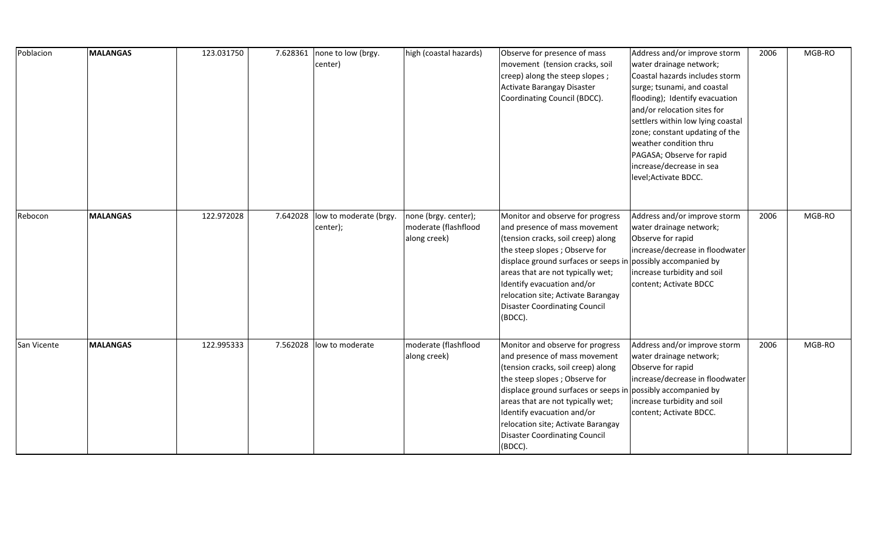| Poblacion   | <b>MALANGAS</b> | 123.031750 | 7.628361 | none to low (brgy.<br>center)      | high (coastal hazards)                                       | Observe for presence of mass<br>movement (tension cracks, soil<br>creep) along the steep slopes;<br>Activate Barangay Disaster<br>Coordinating Council (BDCC).                                                                                                                                                                                                       | Address and/or improve storm<br>water drainage network;<br>Coastal hazards includes storm<br>surge; tsunami, and coastal<br>flooding); Identify evacuation<br>and/or relocation sites for<br>settlers within low lying coastal<br>zone; constant updating of the<br>weather condition thru<br>PAGASA; Observe for rapid<br>increase/decrease in sea<br>level; Activate BDCC. | 2006 | MGB-RO |
|-------------|-----------------|------------|----------|------------------------------------|--------------------------------------------------------------|----------------------------------------------------------------------------------------------------------------------------------------------------------------------------------------------------------------------------------------------------------------------------------------------------------------------------------------------------------------------|------------------------------------------------------------------------------------------------------------------------------------------------------------------------------------------------------------------------------------------------------------------------------------------------------------------------------------------------------------------------------|------|--------|
| Rebocon     | <b>MALANGAS</b> | 122.972028 | 7.642028 | low to moderate (brgy.<br>center); | none (brgy. center);<br>moderate (flashflood<br>along creek) | Monitor and observe for progress<br>and presence of mass movement<br>(tension cracks, soil creep) along<br>the steep slopes; Observe for<br>displace ground surfaces or seeps in possibly accompanied by<br>areas that are not typically wet;<br>Identify evacuation and/or<br>relocation site; Activate Barangay<br><b>Disaster Coordinating Council</b><br>(BDCC). | Address and/or improve storm<br>water drainage network;<br>Observe for rapid<br>increase/decrease in floodwater<br>increase turbidity and soil<br>content; Activate BDCC                                                                                                                                                                                                     | 2006 | MGB-RO |
| San Vicente | <b>MALANGAS</b> | 122.995333 | 7.562028 | low to moderate                    | moderate (flashflood<br>along creek)                         | Monitor and observe for progress<br>and presence of mass movement<br>(tension cracks, soil creep) along<br>the steep slopes; Observe for<br>displace ground surfaces or seeps in possibly accompanied by<br>areas that are not typically wet;<br>Identify evacuation and/or<br>relocation site; Activate Barangay<br><b>Disaster Coordinating Council</b><br>(BDCC). | Address and/or improve storm<br>water drainage network;<br>Observe for rapid<br>increase/decrease in floodwater<br>increase turbidity and soil<br>content; Activate BDCC.                                                                                                                                                                                                    | 2006 | MGB-RO |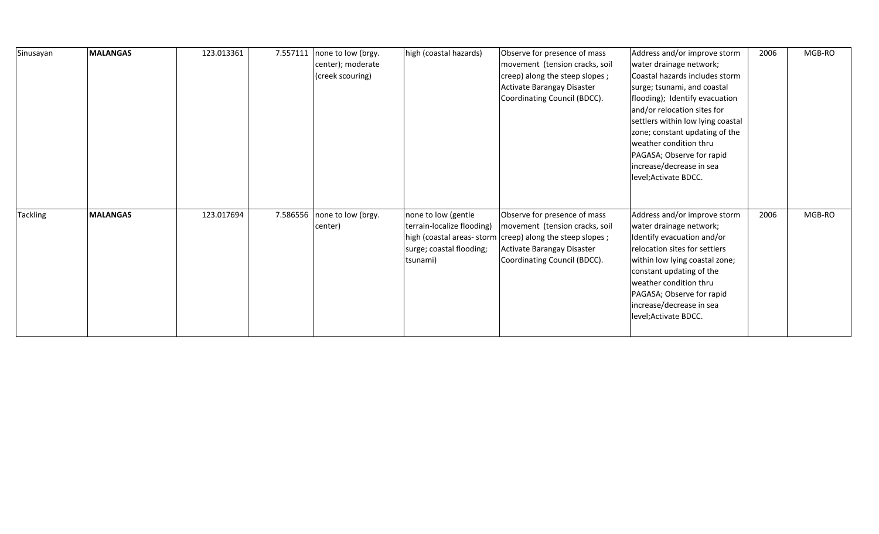| Sinusayan       | <b>MALANGAS</b> | 123.013361 | 7.557111 | none to low (brgy. | high (coastal hazards)     | Observe for presence of mass                             | Address and/or improve storm      | 2006 | MGB-RO |
|-----------------|-----------------|------------|----------|--------------------|----------------------------|----------------------------------------------------------|-----------------------------------|------|--------|
|                 |                 |            |          | center); moderate  |                            | movement (tension cracks, soil                           | water drainage network;           |      |        |
|                 |                 |            |          | (creek scouring)   |                            | creep) along the steep slopes;                           | Coastal hazards includes storm    |      |        |
|                 |                 |            |          |                    |                            | Activate Barangay Disaster                               | surge; tsunami, and coastal       |      |        |
|                 |                 |            |          |                    |                            | Coordinating Council (BDCC).                             | flooding); Identify evacuation    |      |        |
|                 |                 |            |          |                    |                            |                                                          | and/or relocation sites for       |      |        |
|                 |                 |            |          |                    |                            |                                                          | settlers within low lying coastal |      |        |
|                 |                 |            |          |                    |                            |                                                          | zone; constant updating of the    |      |        |
|                 |                 |            |          |                    |                            |                                                          | weather condition thru            |      |        |
|                 |                 |            |          |                    |                            |                                                          | PAGASA; Observe for rapid         |      |        |
|                 |                 |            |          |                    |                            |                                                          | increase/decrease in sea          |      |        |
|                 |                 |            |          |                    |                            |                                                          | level; Activate BDCC.             |      |        |
|                 |                 |            |          |                    |                            |                                                          |                                   |      |        |
|                 |                 |            |          |                    |                            |                                                          |                                   |      |        |
| <b>Tackling</b> | <b>MALANGAS</b> | 123.017694 | 7.586556 | none to low (brgy. | none to low (gentle        | Observe for presence of mass                             | Address and/or improve storm      | 2006 | MGB-RO |
|                 |                 |            |          | center)            | terrain-localize flooding) | movement (tension cracks, soil                           | water drainage network;           |      |        |
|                 |                 |            |          |                    |                            | high (coastal areas-storm creep) along the steep slopes; | Identify evacuation and/or        |      |        |
|                 |                 |            |          |                    | surge; coastal flooding;   | Activate Barangay Disaster                               | relocation sites for settlers     |      |        |
|                 |                 |            |          |                    | tsunami)                   | Coordinating Council (BDCC).                             | within low lying coastal zone;    |      |        |
|                 |                 |            |          |                    |                            |                                                          | constant updating of the          |      |        |
|                 |                 |            |          |                    |                            |                                                          | weather condition thru            |      |        |
|                 |                 |            |          |                    |                            |                                                          | PAGASA; Observe for rapid         |      |        |
|                 |                 |            |          |                    |                            |                                                          | increase/decrease in sea          |      |        |
|                 |                 |            |          |                    |                            |                                                          | level; Activate BDCC.             |      |        |
|                 |                 |            |          |                    |                            |                                                          |                                   |      |        |